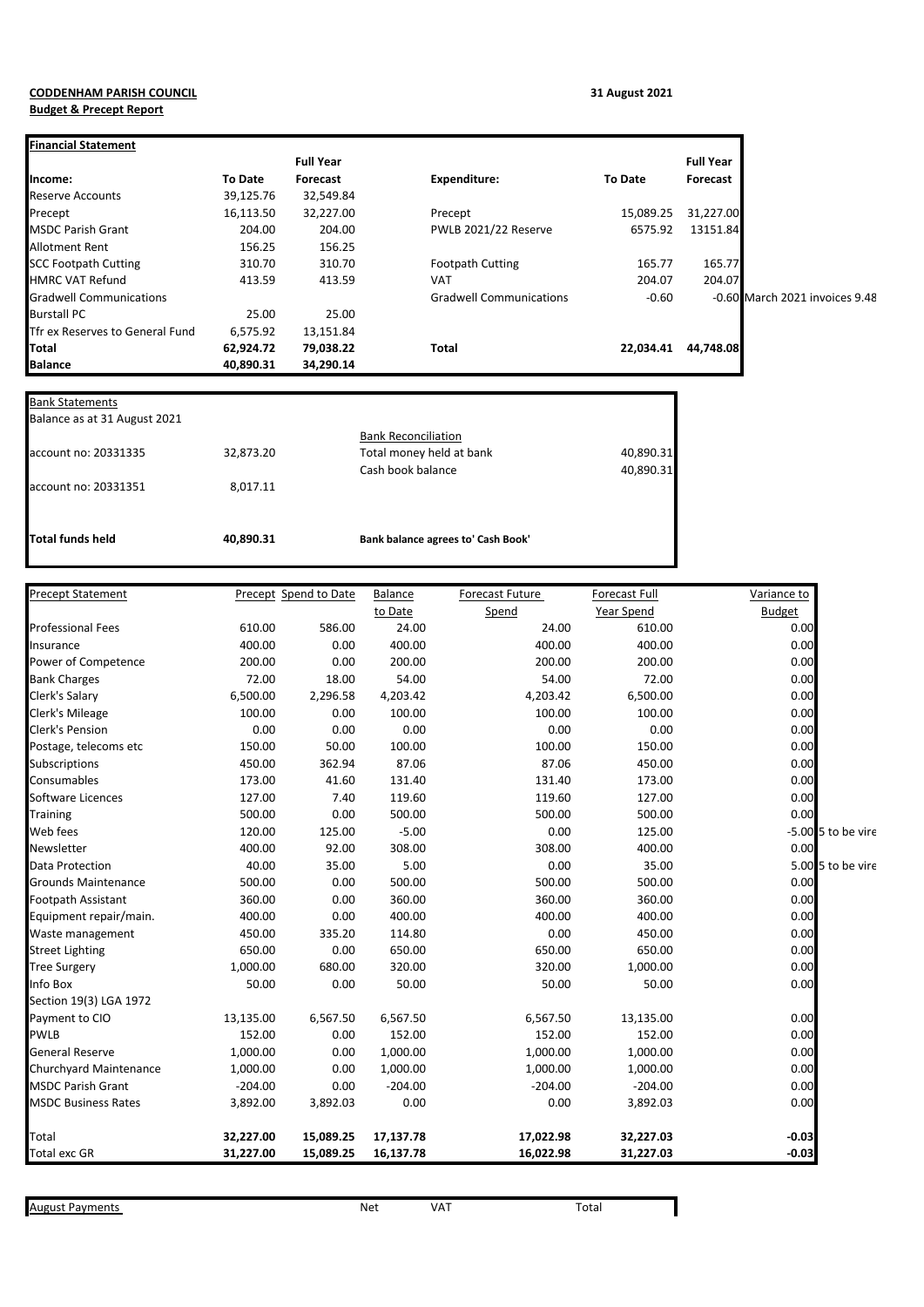## **CODDENHAM PARISH COUNCIL 31 August 2021 Budget & Precept Report**

|                                 |           | <b>Full Year</b> |                                |                | <b>Full Year</b> |                                |
|---------------------------------|-----------|------------------|--------------------------------|----------------|------------------|--------------------------------|
| lncome:                         | To Date   | Forecast         | <b>Expenditure:</b>            | <b>To Date</b> | Forecast         |                                |
| Reserve Accounts                | 39,125.76 | 32,549.84        |                                |                |                  |                                |
| Precept                         | 16,113.50 | 32,227.00        | Precept                        | 15,089.25      | 31,227.00        |                                |
| <b>MSDC Parish Grant</b>        | 204.00    | 204.00           | PWLB 2021/22 Reserve           | 6575.92        | 13151.84         |                                |
| Allotment Rent                  | 156.25    | 156.25           |                                |                |                  |                                |
| <b>SCC Footpath Cutting</b>     | 310.70    | 310.70           | <b>Footpath Cutting</b>        | 165.77         | 165.77           |                                |
| <b>HMRC VAT Refund</b>          | 413.59    | 413.59           | <b>VAT</b>                     | 204.07         | 204.07           |                                |
| <b>Gradwell Communications</b>  |           |                  | <b>Gradwell Communications</b> | $-0.60$        |                  | -0.60 March 2021 invoices 9.48 |
| <b>Burstall PC</b>              | 25.00     | 25.00            |                                |                |                  |                                |
| Tfr ex Reserves to General Fund | 6,575.92  | 13,151.84        |                                |                |                  |                                |
| <b>Total</b>                    | 62,924.72 | 79,038.22        | Total                          | 22,034.41      | 44,748.08        |                                |
| <b>Balance</b>                  | 40,890.31 | 34,290.14        |                                |                |                  |                                |

| Total funds held             | 40,890.31 | Bank balance agrees to' Cash Book'                     |           |
|------------------------------|-----------|--------------------------------------------------------|-----------|
| account no: 20331351         | 8,017.11  |                                                        |           |
|                              |           | Cash book balance                                      | 40,890.31 |
| account no: 20331335         | 32,873.20 | <b>Bank Reconciliation</b><br>Total money held at bank | 40,890.31 |
| Balance as at 31 August 2021 |           |                                                        |           |
| <b>Bank Statements</b>       |           |                                                        |           |

| <b>Precept Statement</b>   |           | Precept Spend to Date | Balance   | Forecast Future | Forecast Full | Variance to   |                      |
|----------------------------|-----------|-----------------------|-----------|-----------------|---------------|---------------|----------------------|
|                            |           |                       | to Date   | Spend           | Year Spend    | <b>Budget</b> |                      |
| <b>Professional Fees</b>   | 610.00    | 586.00                | 24.00     | 24.00           | 610.00        | 0.00          |                      |
| Insurance                  | 400.00    | 0.00                  | 400.00    | 400.00          | 400.00        | 0.00          |                      |
| Power of Competence        | 200.00    | 0.00                  | 200.00    | 200.00          | 200.00        | 0.00          |                      |
| <b>Bank Charges</b>        | 72.00     | 18.00                 | 54.00     | 54.00           | 72.00         | 0.00          |                      |
| Clerk's Salary             | 6,500.00  | 2,296.58              | 4,203.42  | 4,203.42        | 6,500.00      | 0.00          |                      |
| <b>Clerk's Mileage</b>     | 100.00    | 0.00                  | 100.00    | 100.00          | 100.00        | 0.00          |                      |
| <b>Clerk's Pension</b>     | 0.00      | 0.00                  | 0.00      | 0.00            | 0.00          | 0.00          |                      |
| Postage, telecoms etc      | 150.00    | 50.00                 | 100.00    | 100.00          | 150.00        | 0.00          |                      |
| Subscriptions              | 450.00    | 362.94                | 87.06     | 87.06           | 450.00        | 0.00          |                      |
| Consumables                | 173.00    | 41.60                 | 131.40    | 131.40          | 173.00        | 0.00          |                      |
| Software Licences          | 127.00    | 7.40                  | 119.60    | 119.60          | 127.00        | 0.00          |                      |
| <b>Training</b>            | 500.00    | 0.00                  | 500.00    | 500.00          | 500.00        | 0.00          |                      |
| Web fees                   | 120.00    | 125.00                | $-5.00$   | 0.00            | 125.00        |               | $-5.00$ 5 to be vire |
| Newsletter                 | 400.00    | 92.00                 | 308.00    | 308.00          | 400.00        | 0.00          |                      |
| Data Protection            | 40.00     | 35.00                 | 5.00      | 0.00            | 35.00         |               | 5.00 5 to be vire    |
| <b>Grounds Maintenance</b> | 500.00    | 0.00                  | 500.00    | 500.00          | 500.00        | 0.00          |                      |
| <b>Footpath Assistant</b>  | 360.00    | 0.00                  | 360.00    | 360.00          | 360.00        | 0.00          |                      |
| Equipment repair/main.     | 400.00    | 0.00                  | 400.00    | 400.00          | 400.00        | 0.00          |                      |
| Waste management           | 450.00    | 335.20                | 114.80    | 0.00            | 450.00        | 0.00          |                      |
| <b>Street Lighting</b>     | 650.00    | 0.00                  | 650.00    | 650.00          | 650.00        | 0.00          |                      |
| <b>Tree Surgery</b>        | 1,000.00  | 680.00                | 320.00    | 320.00          | 1,000.00      | 0.00          |                      |
| Info Box                   | 50.00     | 0.00                  | 50.00     | 50.00           | 50.00         | 0.00          |                      |
| Section 19(3) LGA 1972     |           |                       |           |                 |               |               |                      |
| Payment to CIO             | 13,135.00 | 6,567.50              | 6,567.50  | 6,567.50        | 13,135.00     | 0.00          |                      |
| <b>PWLB</b>                | 152.00    | 0.00                  | 152.00    | 152.00          | 152.00        | 0.00          |                      |
| <b>General Reserve</b>     | 1,000.00  | 0.00                  | 1,000.00  | 1,000.00        | 1,000.00      | 0.00          |                      |
| Churchyard Maintenance     | 1,000.00  | 0.00                  | 1,000.00  | 1,000.00        | 1,000.00      | 0.00          |                      |
| <b>MSDC Parish Grant</b>   | $-204.00$ | 0.00                  | $-204.00$ | $-204.00$       | $-204.00$     | 0.00          |                      |
| <b>MSDC Business Rates</b> | 3,892.00  | 3,892.03              | 0.00      | 0.00            | 3,892.03      | 0.00          |                      |
| Total                      | 32,227.00 | 15,089.25             | 17,137.78 | 17,022.98       | 32,227.03     | $-0.03$       |                      |
| <b>Total exc GR</b>        | 31,227.00 | 15,089.25             | 16,137.78 | 16,022.98       | 31,227.03     | $-0.03$       |                      |

August Payments **August Payments Net** VAT VAT Total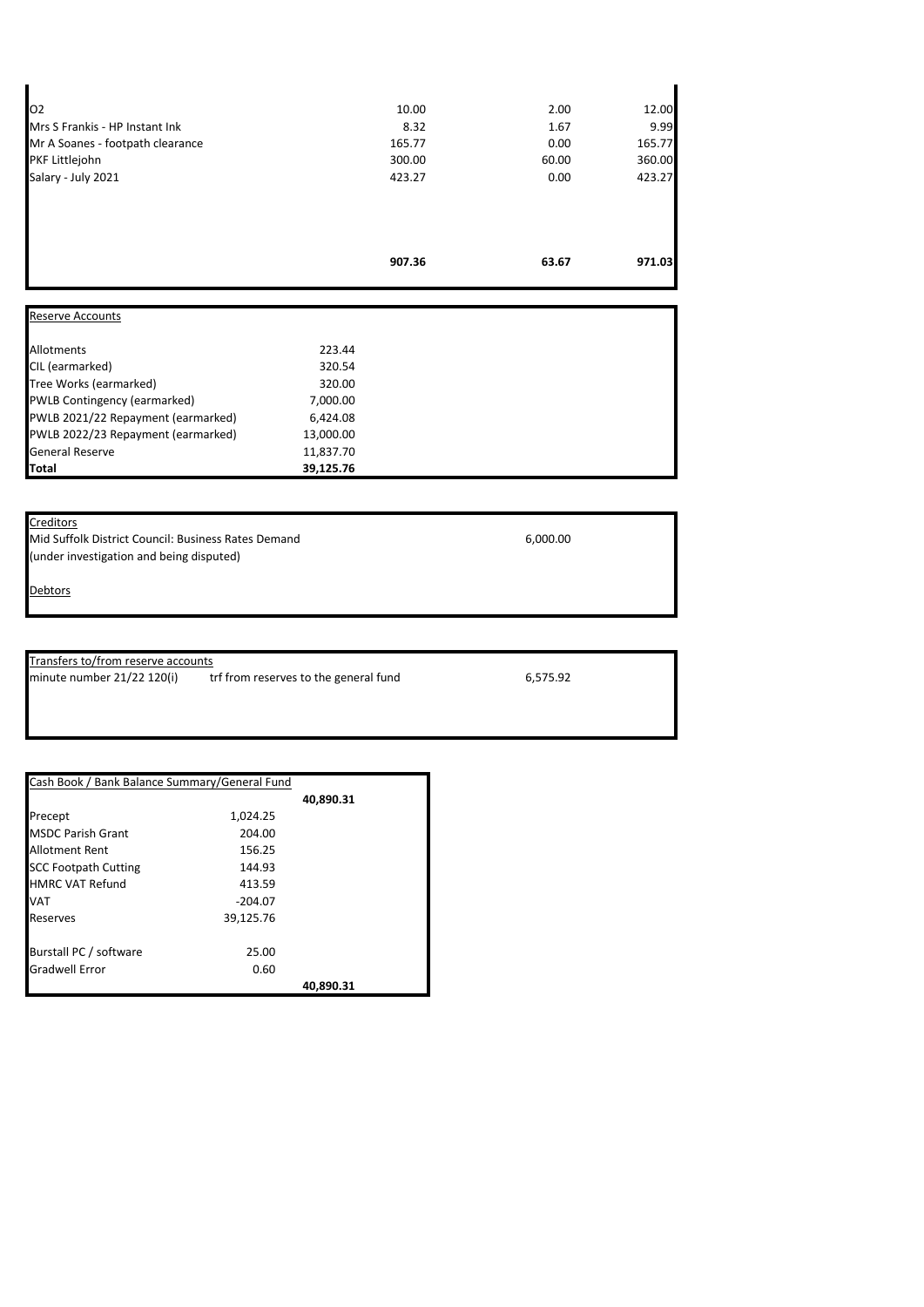|                                  | 907.36 | 63.67 | 971.03 |
|----------------------------------|--------|-------|--------|
|                                  |        |       |        |
| Salary - July 2021               | 423.27 | 0.00  | 423.27 |
| PKF Littlejohn                   | 300.00 | 60.00 | 360.00 |
| Mr A Soanes - footpath clearance | 165.77 | 0.00  | 165.77 |
| Mrs S Frankis - HP Instant Ink   | 8.32   | 1.67  | 9.99   |
| 102                              | 10.00  | 2.00  | 12.00  |

| <b>Reserve Accounts</b>            |           |  |
|------------------------------------|-----------|--|
| Allotments                         | 223.44    |  |
| CIL (earmarked)                    | 320.54    |  |
| Tree Works (earmarked)             | 320.00    |  |
| PWLB Contingency (earmarked)       | 7,000.00  |  |
| PWLB 2021/22 Repayment (earmarked) | 6,424.08  |  |
| PWLB 2022/23 Repayment (earmarked) | 13,000.00 |  |
| <b>General Reserve</b>             | 11,837.70 |  |
| Total                              | 39,125.76 |  |

## **Creditors**

Mid Suffolk District Council: Business Rates Demand 6,000.00 (under investigation and being disputed)

**Debtors** 

Transfers to/from reserve accounts<br>minute number 21/22 120(i) tr trf from reserves to the general fund 6,575.92

| Cash Book / Bank Balance Summary/General Fund |           |           |
|-----------------------------------------------|-----------|-----------|
|                                               |           | 40,890.31 |
| Precept                                       | 1,024.25  |           |
| <b>MSDC Parish Grant</b>                      | 204.00    |           |
| <b>Allotment Rent</b>                         | 156.25    |           |
| <b>SCC Footpath Cutting</b>                   | 144.93    |           |
| <b>HMRC VAT Refund</b>                        | 413.59    |           |
| <b>VAT</b>                                    | $-204.07$ |           |
| Reserves                                      | 39,125.76 |           |
| Burstall PC / software                        | 25.00     |           |
| <b>Gradwell Error</b>                         | 0.60      |           |
|                                               |           | 40.890.31 |